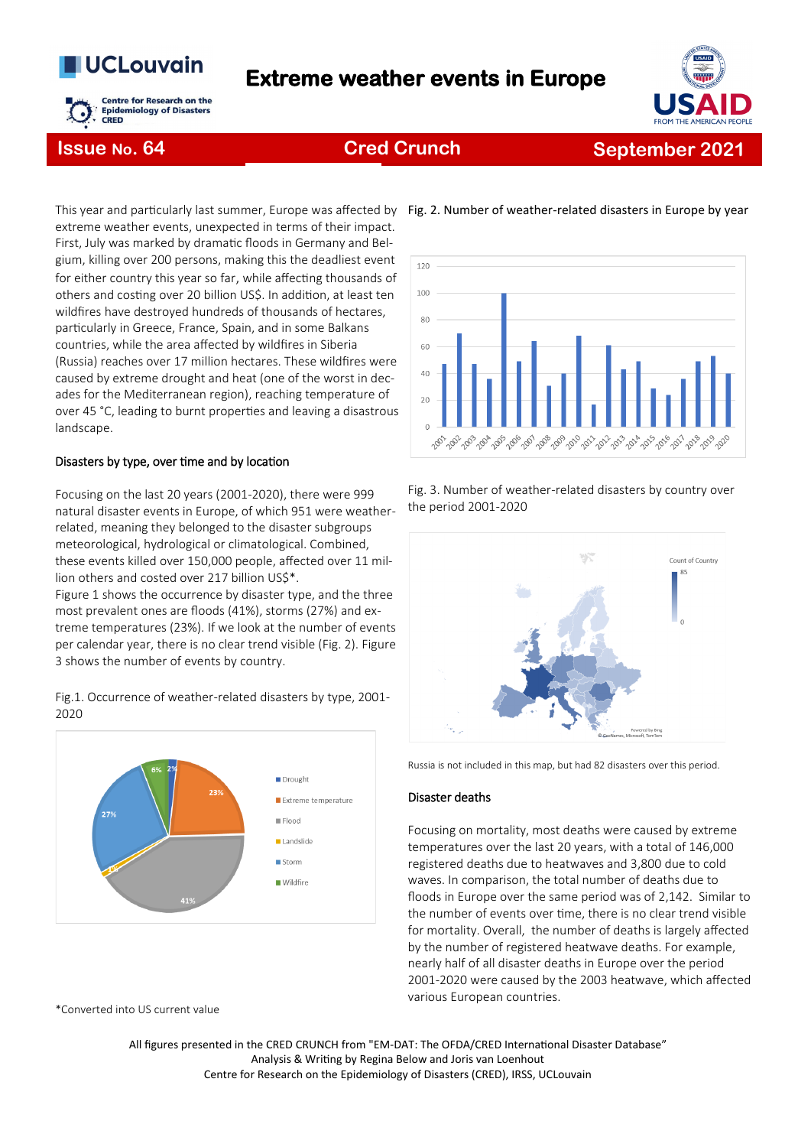# **UCLouvain**



# **Extreme weather events in Europe**



## **Issue No. 64 Cred Crunch**

# **September 2021**

This year and particularly last summer, Europe was affected by Fig. 2. Number of weather-related disasters in Europe by year extreme weather events, unexpected in terms of their impact. First, July was marked by dramatic floods in Germany and Belgium, killing over 200 persons, making this the deadliest event for either country this year so far, while affecting thousands of others and costing over 20 billion US\$. In addition, at least ten wildfires have destroyed hundreds of thousands of hectares, particularly in Greece, France, Spain, and in some Balkans countries, while the area affected by wildfires in Siberia (Russia) reaches over 17 million hectares. These wildfires were caused by extreme drought and heat (one of the worst in decades for the Mediterranean region), reaching temperature of over 45 °C, leading to burnt properties and leaving a disastrous landscape.

#### Disasters by type, over time and by location

Focusing on the last 20 years (2001-2020), there were 999 natural disaster events in Europe, of which 951 were weatherrelated, meaning they belonged to the disaster subgroups meteorological, hydrological or climatological. Combined, these events killed over 150,000 people, affected over 11 million others and costed over 217 billion US\$\*.

Figure 1 shows the occurrence by disaster type, and the three most prevalent ones are floods (41%), storms (27%) and extreme temperatures (23%). If we look at the number of events per calendar year, there is no clear trend visible (Fig. 2). Figure 3 shows the number of events by country.



Fig.1. Occurrence of weather-related disasters by type, 2001- 2020

\*Converted into US current value



#### Fig. 3. Number of weather-related disasters by country over the period 2001-2020



Russia is not included in this map, but had 82 disasters over this period.

#### Disaster deaths

Focusing on mortality, most deaths were caused by extreme temperatures over the last 20 years, with a total of 146,000 registered deaths due to heatwaves and 3,800 due to cold waves. In comparison, the total number of deaths due to floods in Europe over the same period was of 2,142. Similar to the number of events over time, there is no clear trend visible for mortality. Overall, the number of deaths is largely affected by the number of registered heatwave deaths. For example, nearly half of all disaster deaths in Europe over the period 2001-2020 were caused by the 2003 heatwave, which affected various European countries.

All figures presented in the CRED CRUNCH from "EM-DAT: The OFDA/CRED International Disaster Database" Analysis & Writing by Regina Below and Joris van Loenhout Centre for Research on the Epidemiology of Disasters (CRED), IRSS, UCLouvain